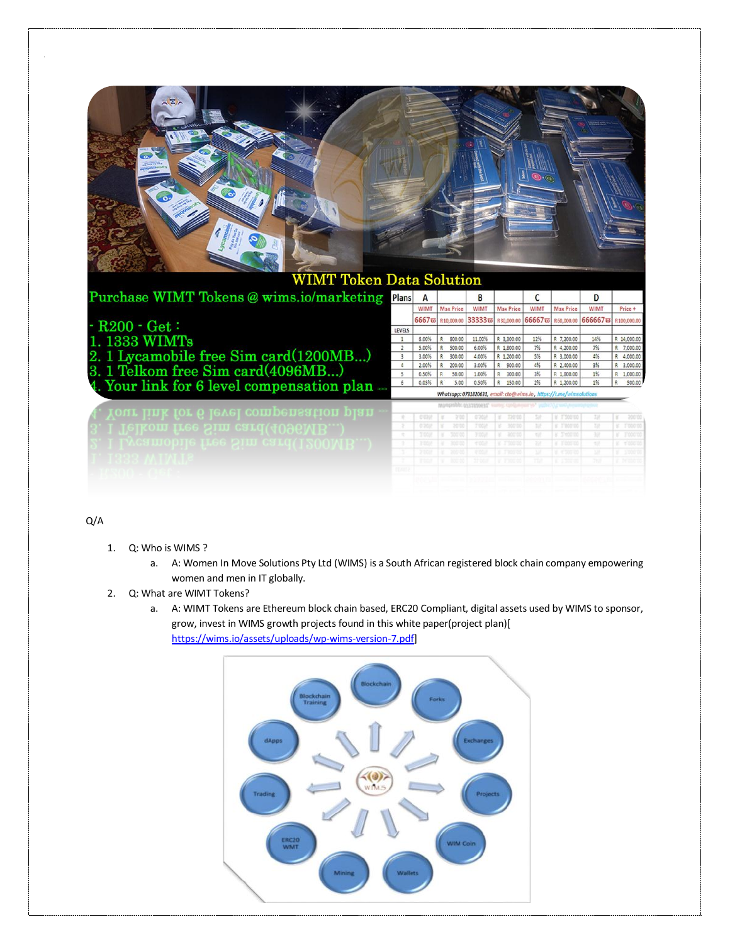

## Q/A

- 1. Q: Who is WIMS ?
	- a. A: Women In Move Solutions Pty Ltd (WIMS) is a South African registered block chain company empowering women and men in IT globally.
- 2. Q: What are WIMT Tokens?
	- a. A: WIMT Tokens are Ethereum block chain based, ERC20 Compliant, digital assets used by WIMS to sponsor, grow, invest in WIMS growth projects found in this white paper(project plan)[ [https://wims.io/assets/uploads/wp-wims-version-7.pdf\]](https://wims.io/assets/uploads/wp-wims-version-7.pdf)